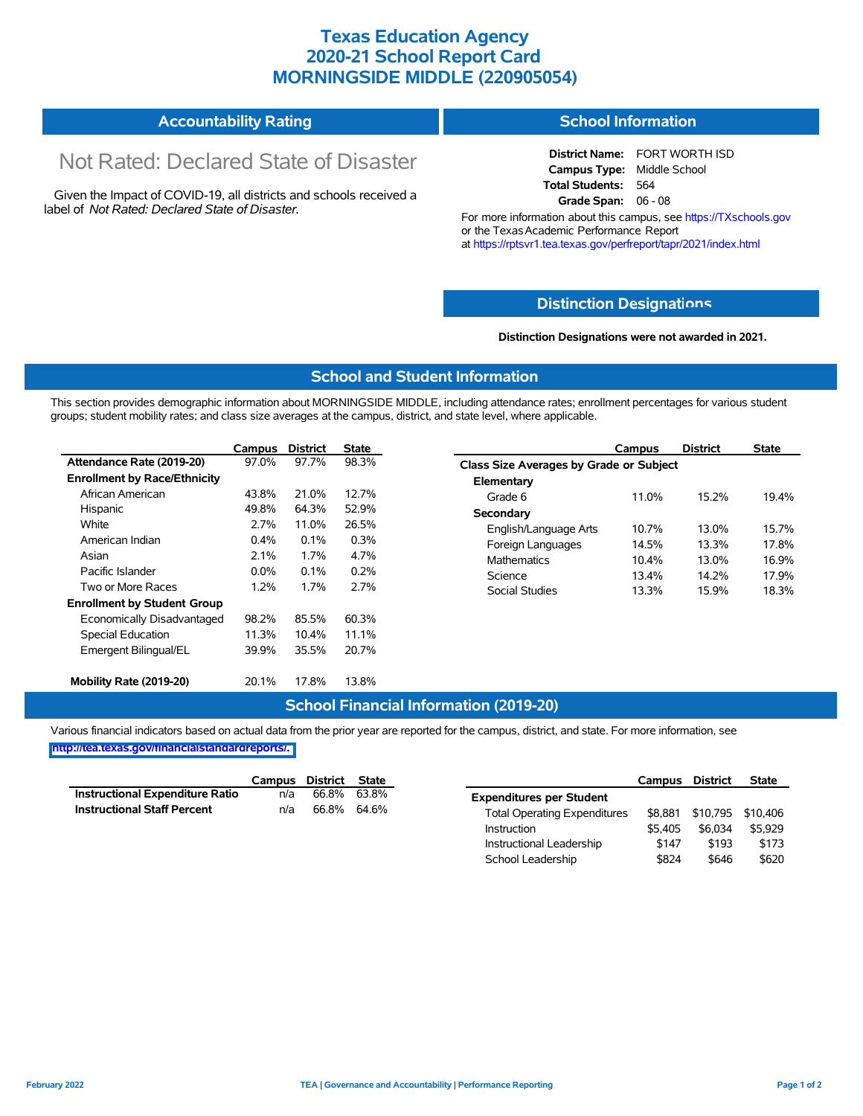# **Texas Education Agency 2020-21 School Report Card MORNINGSIDE MIDDLE (220905054)**

#### **Accountability Rating School Information**

# Not Rated: Declared State of Disaster

Given the Impact of COVID-19, all districts and schools received a label of *Not Rated: Declared State of Disaster.*

**District Name:** FORT WORTH ISD **Campus Type:** Middle School **Total Students:** 564 **Grade Span:** 06 - 08

For more information about this campus, see https://TXschools.gov or the Texas Academic Performance Report at https://rptsvr1.tea.texas.gov/perfreport/tapr/2021/index.html

### **Distinction Designat[ions](https://TXschools.gov)**

**Distinction Designations were not awarded in 2021.**

School Leadership  $$824$  \$646 \$620

#### **School and Student Information**

This section provides demographic information about MORNINGSIDE MIDDLE, including attendance rates; enrollment percentages for various student groups; student mobility rates; and class size averages at the campus, district, and state level, where applicable.

|                                     | Campus                  | <b>District</b>                    | <b>State</b> | Campus                         | <b>District</b>                         | <b>State</b> |  |  |  |  |
|-------------------------------------|-------------------------|------------------------------------|--------------|--------------------------------|-----------------------------------------|--------------|--|--|--|--|
| Attendance Rate (2019-20)           | 97.0%                   | 97.7%                              | 98.3%        |                                | Class Size Averages by Grade or Subject |              |  |  |  |  |
| <b>Enrollment by Race/Ethnicity</b> |                         |                                    |              | Elementary                     |                                         |              |  |  |  |  |
| African American                    | 43.8%                   | 21.0%                              | 12.7%        | 11.0%<br>Grade 6               | 15.2%                                   | 19.4%        |  |  |  |  |
| Hispanic                            | 49.8%                   | 64.3%                              | 52.9%        | Secondary                      |                                         |              |  |  |  |  |
| White                               | 2.7%                    | 11.0%                              | 26.5%        | English/Language Arts<br>10.7% | 13.0%                                   | 15.7%        |  |  |  |  |
| American Indian                     | 0.3%<br>$0.4\%$<br>0.1% | Foreign Languages<br>14.5%         | 13.3%        | 17.8%                          |                                         |              |  |  |  |  |
| Asian                               | 2.1%                    | 1.7%<br>4.7%<br><b>Mathematics</b> | 10.4%        | 13.0%                          | 16.9%                                   |              |  |  |  |  |
| Pacific Islander                    | $0.0\%$                 | 0.1%                               | 0.2%         | Science<br>13.4%               | 14.2%                                   | 17.9%        |  |  |  |  |
| Two or More Races                   | 1.2%                    | 1.7%                               | 2.7%         | 13.3%<br>Social Studies        | 15.9%                                   | 18.3%        |  |  |  |  |
| <b>Enrollment by Student Group</b>  |                         |                                    |              |                                |                                         |              |  |  |  |  |
| Economically Disadvantaged          | 98.2%                   | 85.5%                              | 60.3%        |                                |                                         |              |  |  |  |  |
| Special Education                   | 11.3%                   | 10.4%                              | 11.1%        |                                |                                         |              |  |  |  |  |
| Emergent Bilingual/EL               | 39.9%                   | 35.5%                              | 20.7%        |                                |                                         |              |  |  |  |  |
|                                     |                         |                                    |              |                                |                                         |              |  |  |  |  |
| Mobility Rate (2019-20)             | 20.1%                   | 17.8%                              | 13.8%        |                                |                                         |              |  |  |  |  |

#### **School Financial Information (2019-20)**

Various financial indicators based on actual data from the prior year are reported for the campus, district, and state. For more information, see

**[http://tea.texas.gov/financialstandardreports/.](http://tea.texas.gov/financialstandardreports/)**

|                                        | Campus | District | State |                                     | Campus  | <b>District</b>           | <b>State</b> |
|----------------------------------------|--------|----------|-------|-------------------------------------|---------|---------------------------|--------------|
| <b>Instructional Expenditure Ratio</b> | n/a    | 66.8%    | 63.8% | <b>Expenditures per Student</b>     |         |                           |              |
| <b>Instructional Staff Percent</b>     | n/a    | 66.8%    | 64.6% | <b>Total Operating Expenditures</b> |         | \$8,881 \$10,795 \$10,406 |              |
|                                        |        |          |       | Instruction                         | \$5.405 | \$6.034                   | \$5.929      |
|                                        |        |          |       | Instructional Leadership            | \$147   | \$193                     | \$173        |